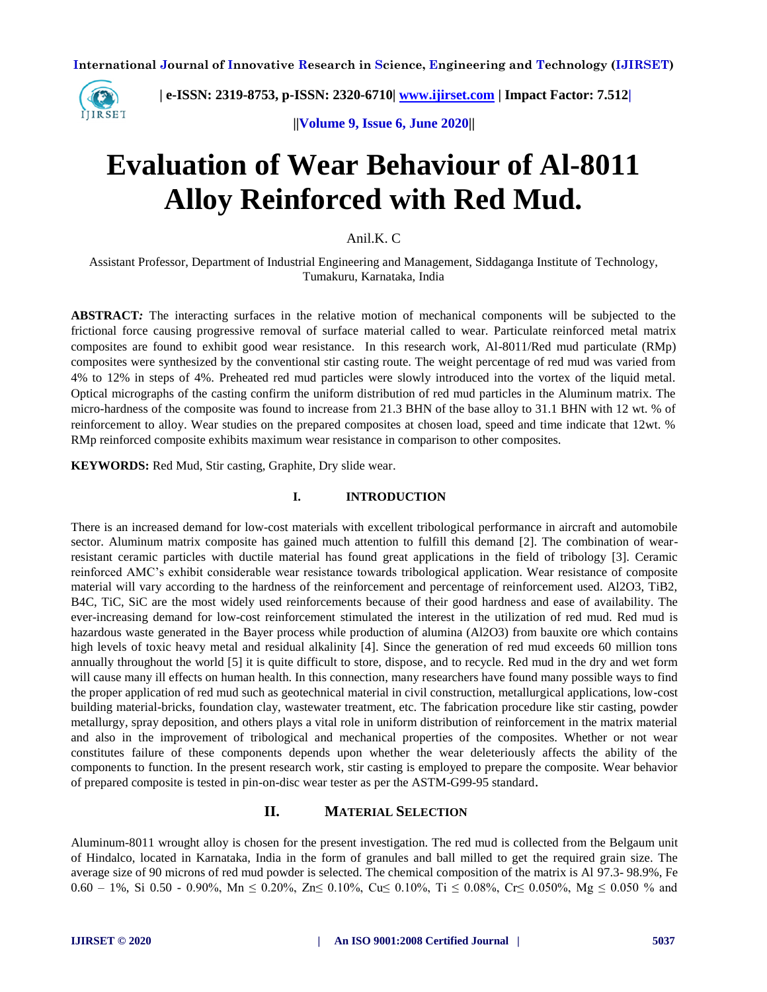

 **| e-ISSN: 2319-8753, p-ISSN: 2320-6710[| www.ijirset.com](http://www.ijirset.com/) | Impact Factor: 7.512|**

 **||Volume 9, Issue 6, June 2020||** 

# **Evaluation of Wear Behaviour of Al-8011 Alloy Reinforced with Red Mud.**

#### Anil.K. C

Assistant Professor, Department of Industrial Engineering and Management, Siddaganga Institute of Technology, Tumakuru, Karnataka, India

**ABSTRACT***:* The interacting surfaces in the relative motion of mechanical components will be subjected to the frictional force causing progressive removal of surface material called to wear. Particulate reinforced metal matrix composites are found to exhibit good wear resistance. In this research work, Al-8011/Red mud particulate (RMp) composites were synthesized by the conventional stir casting route. The weight percentage of red mud was varied from 4% to 12% in steps of 4%. Preheated red mud particles were slowly introduced into the vortex of the liquid metal. Optical micrographs of the casting confirm the uniform distribution of red mud particles in the Aluminum matrix. The micro-hardness of the composite was found to increase from 21.3 BHN of the base alloy to 31.1 BHN with 12 wt. % of reinforcement to alloy. Wear studies on the prepared composites at chosen load, speed and time indicate that 12wt. % RMp reinforced composite exhibits maximum wear resistance in comparison to other composites.

**KEYWORDS:** Red Mud, Stir casting, Graphite, Dry slide wear.

#### **I. INTRODUCTION**

There is an increased demand for low-cost materials with excellent tribological performance in aircraft and automobile sector. Aluminum matrix composite has gained much attention to fulfill this demand [2]. The combination of wearresistant ceramic particles with ductile material has found great applications in the field of tribology [3]. Ceramic reinforced AMC's exhibit considerable wear resistance towards tribological application. Wear resistance of composite material will vary according to the hardness of the reinforcement and percentage of reinforcement used. Al2O3, TiB2, B4C, TiC, SiC are the most widely used reinforcements because of their good hardness and ease of availability. The ever-increasing demand for low-cost reinforcement stimulated the interest in the utilization of red mud. Red mud is hazardous waste generated in the Bayer process while production of alumina (Al2O3) from bauxite ore which contains high levels of toxic heavy metal and residual alkalinity [4]. Since the generation of red mud exceeds 60 million tons annually throughout the world [5] it is quite difficult to store, dispose, and to recycle. Red mud in the dry and wet form will cause many ill effects on human health. In this connection, many researchers have found many possible ways to find the proper application of red mud such as geotechnical material in civil construction, metallurgical applications, low-cost building material-bricks, foundation clay, wastewater treatment, etc. The fabrication procedure like stir casting, powder metallurgy, spray deposition, and others plays a vital role in uniform distribution of reinforcement in the matrix material and also in the improvement of tribological and mechanical properties of the composites. Whether or not wear constitutes failure of these components depends upon whether the wear deleteriously affects the ability of the components to function. In the present research work, stir casting is employed to prepare the composite. Wear behavior of prepared composite is tested in pin-on-disc wear tester as per the ASTM-G99-95 standard.

## **II. MATERIAL SELECTION**

Aluminum-8011 wrought alloy is chosen for the present investigation. The red mud is collected from the Belgaum unit of Hindalco, located in Karnataka, India in the form of granules and ball milled to get the required grain size. The average size of 90 microns of red mud powder is selected. The chemical composition of the matrix is Al 97.3- 98.9%, Fe 0.60 – 1%, Si 0.50 - 0.90%, Mn  $\leq$  0.20%, Zn $\leq$  0.10%, Cu $\leq$  0.10%, Ti  $\leq$  0.08%, Cr $\leq$  0.050%, Mg  $\leq$  0.050 % and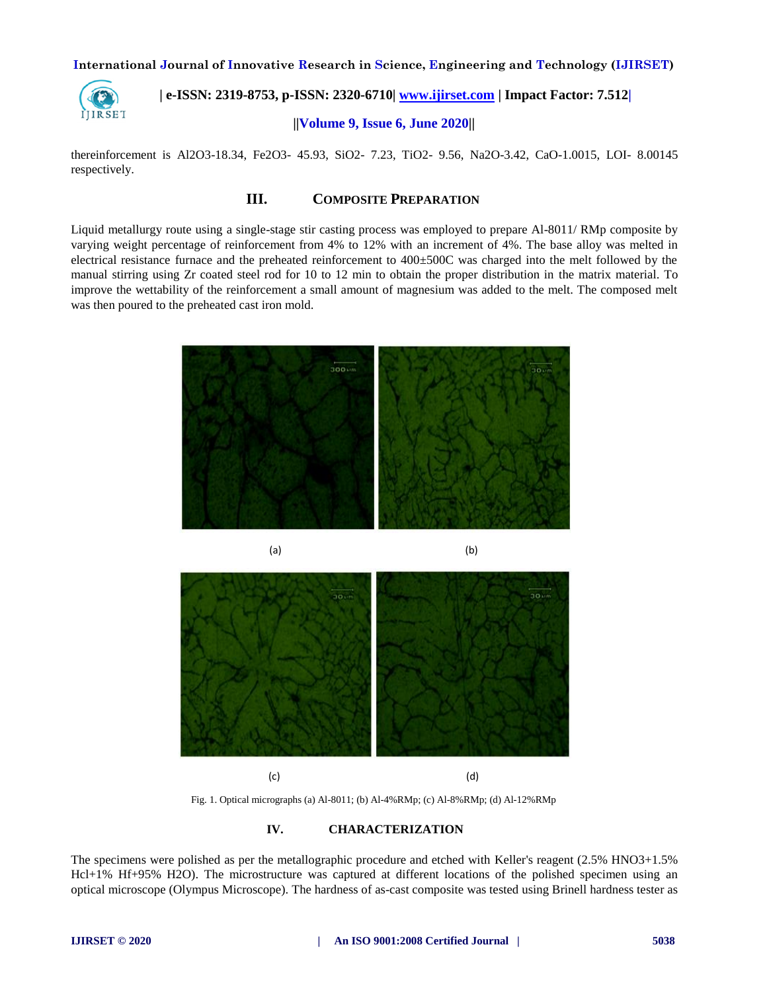

 **| e-ISSN: 2319-8753, p-ISSN: 2320-6710[| www.ijirset.com](http://www.ijirset.com/) | Impact Factor: 7.512|**

## **||Volume 9, Issue 6, June 2020||**

thereinforcement is Al2O3-18.34, Fe2O3- 45.93, SiO2- 7.23, TiO2- 9.56, Na2O-3.42, CaO-1.0015, LOI- 8.00145 respectively.

## **III. COMPOSITE PREPARATION**

Liquid metallurgy route using a single-stage stir casting process was employed to prepare Al-8011/ RMp composite by varying weight percentage of reinforcement from 4% to 12% with an increment of 4%. The base alloy was melted in electrical resistance furnace and the preheated reinforcement to 400±500C was charged into the melt followed by the manual stirring using Zr coated steel rod for 10 to 12 min to obtain the proper distribution in the matrix material. To improve the wettability of the reinforcement a small amount of magnesium was added to the melt. The composed melt was then poured to the preheated cast iron mold.





(c) (d)

Fig. 1. Optical micrographs (a) Al-8011; (b) Al-4%RMp; (c) Al-8%RMp; (d) Al-12%RMp

#### **IV. CHARACTERIZATION**

The specimens were polished as per the metallographic procedure and etched with Keller's reagent (2.5% HNO3+1.5% Hcl+1% Hf+95% H2O). The microstructure was captured at different locations of the polished specimen using an optical microscope (Olympus Microscope). The hardness of as-cast composite was tested using Brinell hardness tester as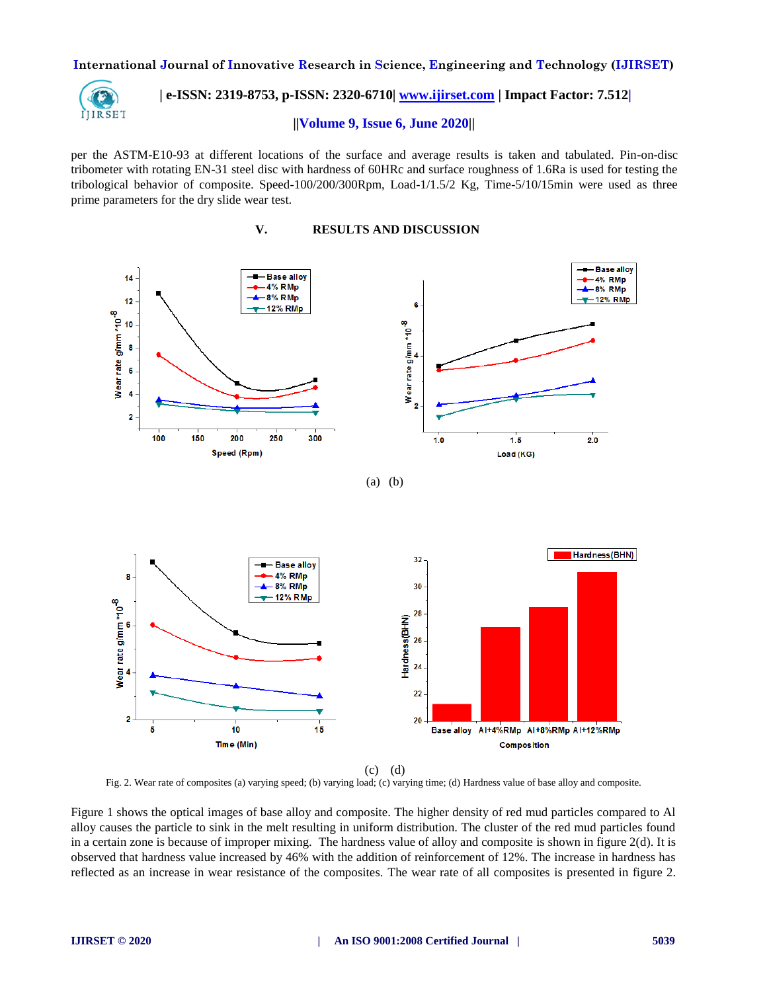![](_page_2_Picture_1.jpeg)

 **| e-ISSN: 2319-8753, p-ISSN: 2320-6710[| www.ijirset.com](http://www.ijirset.com/) | Impact Factor: 7.512|**

#### **||Volume 9, Issue 6, June 2020||**

per the ASTM-E10-93 at different locations of the surface and average results is taken and tabulated. Pin-on-disc tribometer with rotating EN-31 steel disc with hardness of 60HRc and surface roughness of 1.6Ra is used for testing the tribological behavior of composite. Speed-100/200/300Rpm, Load-1/1.5/2 Kg, Time-5/10/15min were used as three prime parameters for the dry slide wear test.

**V. RESULTS AND DISCUSSION**

![](_page_2_Figure_6.jpeg)

(c) (d) Fig. 2. Wear rate of composites (a) varying speed; (b) varying load; (c) varying time; (d) Hardness value of base alloy and composite.

15

Figure 1 shows the optical images of base alloy and composite. The higher density of red mud particles compared to Al alloy causes the particle to sink in the melt resulting in uniform distribution. The cluster of the red mud particles found in a certain zone is because of improper mixing. The hardness value of alloy and composite is shown in figure 2(d). It is observed that hardness value increased by 46% with the addition of reinforcement of 12%. The increase in hardness has reflected as an increase in wear resistance of the composites. The wear rate of all composites is presented in figure 2.

 $\overline{2}$ 

Ġ

 $10$ 

Time (Min)

20

Base alloy Al+4%RMp Al+8%RMp Al+12%RMp

Composition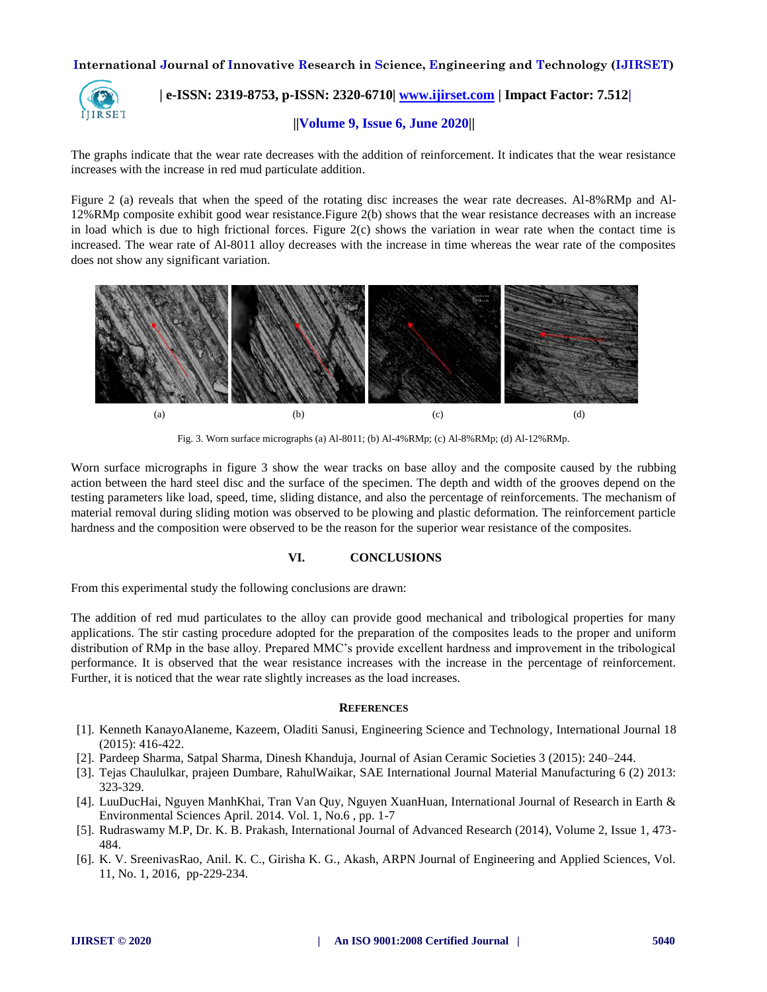![](_page_3_Picture_1.jpeg)

 **| e-ISSN: 2319-8753, p-ISSN: 2320-6710[| www.ijirset.com](http://www.ijirset.com/) | Impact Factor: 7.512|**

## **||Volume 9, Issue 6, June 2020||**

The graphs indicate that the wear rate decreases with the addition of reinforcement. It indicates that the wear resistance increases with the increase in red mud particulate addition.

Figure 2 (a) reveals that when the speed of the rotating disc increases the wear rate decreases. Al-8%RMp and Al-12%RMp composite exhibit good wear resistance.Figure 2(b) shows that the wear resistance decreases with an increase in load which is due to high frictional forces. Figure  $2(c)$  shows the variation in wear rate when the contact time is increased. The wear rate of Al-8011 alloy decreases with the increase in time whereas the wear rate of the composites does not show any significant variation.

![](_page_3_Figure_6.jpeg)

Fig. 3. Worn surface micrographs (a) Al-8011; (b) Al-4%RMp; (c) Al-8%RMp; (d) Al-12%RMp.

Worn surface micrographs in figure 3 show the wear tracks on base alloy and the composite caused by the rubbing action between the hard steel disc and the surface of the specimen. The depth and width of the grooves depend on the testing parameters like load, speed, time, sliding distance, and also the percentage of reinforcements. The mechanism of material removal during sliding motion was observed to be plowing and plastic deformation. The reinforcement particle hardness and the composition were observed to be the reason for the superior wear resistance of the composites.

## **VI. CONCLUSIONS**

From this experimental study the following conclusions are drawn:

The addition of red mud particulates to the alloy can provide good mechanical and tribological properties for many applications. The stir casting procedure adopted for the preparation of the composites leads to the proper and uniform distribution of RMp in the base alloy. Prepared MMC's provide excellent hardness and improvement in the tribological performance. It is observed that the wear resistance increases with the increase in the percentage of reinforcement. Further, it is noticed that the wear rate slightly increases as the load increases.

#### **REFERENCES**

- [1]. Kenneth KanayoAlaneme, Kazeem, Oladiti Sanusi, Engineering Science and Technology, International Journal 18 (2015): 416-422.
- [2]. Pardeep Sharma, Satpal Sharma, Dinesh Khanduja, Journal of Asian Ceramic Societies 3 (2015): 240–244.
- [3]. Tejas Chaululkar, prajeen Dumbare, RahulWaikar, SAE International Journal Material Manufacturing 6 (2) 2013: 323-329.
- [4]. LuuDucHai, Nguyen ManhKhai, Tran Van Quy, Nguyen XuanHuan, International Journal of Research in Earth & Environmental Sciences April. 2014. Vol. 1, No.6 , pp. 1-7
- [5]. Rudraswamy M.P, Dr. K. B. Prakash, International Journal of Advanced Research (2014), Volume 2, Issue 1, 473- 484.
- [6]. K. V. SreenivasRao, Anil. K. C., Girisha K. G., Akash, ARPN Journal of Engineering and Applied Sciences, Vol. 11, No. 1, 2016, pp-229-234.